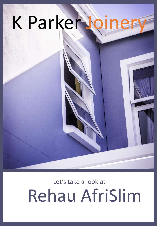

# Rehau AfriSlim Let's take a look at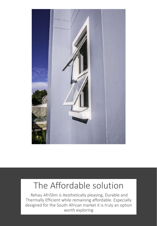

#### The Affordable solution

Rehau AfriSlim is Aesthetically pleasing, Durable and Thermally Efficient while remaining affordable. Especially designed for the South African market it is truly an option worth exploring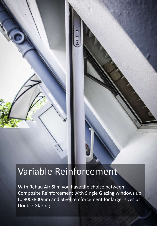### Variable Reinforcement

With Rehau AfriSlim you have the choice between Composite Reinforcement with Single Glazing windows up to 800x800mm and Steel reinforcement for larger sizes or Double Glazing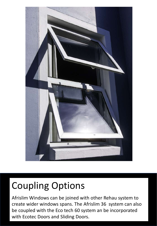

## Coupling Options

Afrislim Windows can be joined with other Rehau system to create wider windows spans. The Afrislim 36 system can also be coupled with the Eco tech 60 system an be incorporated with Ecotec Doors and Sliding Doors.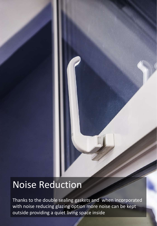#### Noise Reduction

Thanks to the double sealing gaskets and when incorporated with noise reducing glazing option more noise can be kept outside providing a quiet living space inside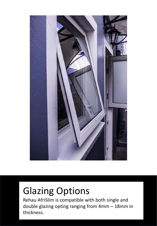

## Glazing Options

Rehau AfriSlim is compatible with both single and double glazing opting ranging from 4mm – 18mm in thickness.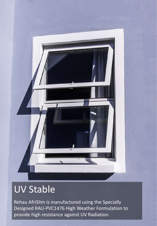## UV Stable

Rehau AfriSlim is manufactured using the Specially Designed RAU-PVC1476 High Weather Formulation to provide high resistance against UV Radiation.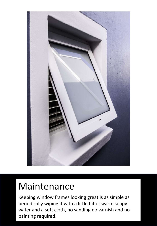

### Maintenance

Keeping window frames looking great is as simple as periodically wiping it with a little bit of warm soapy water and a soft cloth, no sanding no varnish and no painting required.